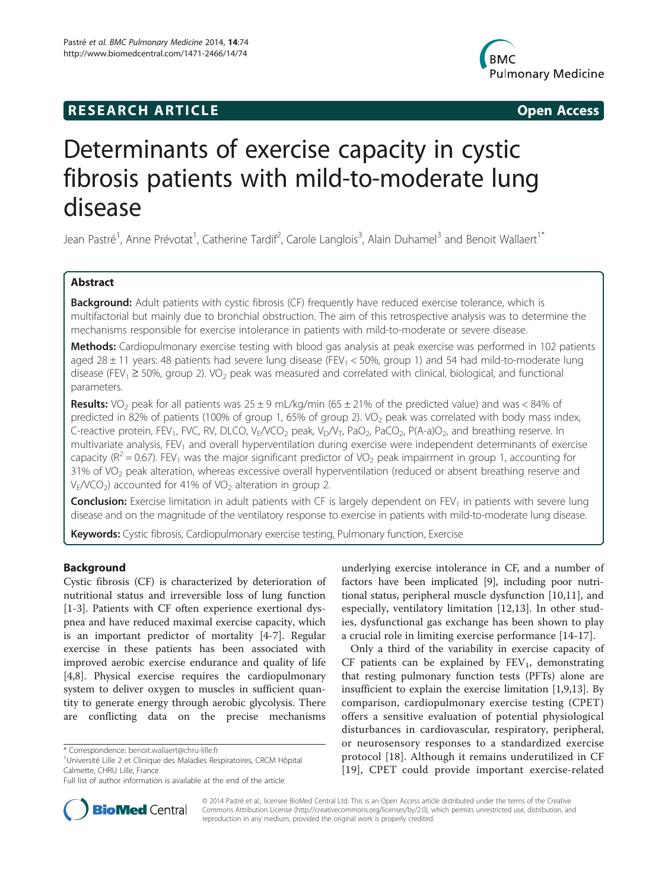# **RESEARCH ARTICLE Example 2014 CONSIDERING CONSIDERING CONSIDERING CONSIDERING CONSIDERING CONSIDERING CONSIDERING CONSIDERING CONSIDERING CONSIDERING CONSIDERING CONSIDERING CONSIDERING CONSIDERING CONSIDERING CONSIDE**



# Determinants of exercise capacity in cystic fibrosis patients with mild-to-moderate lung disease

Jean Pastré<sup>1</sup>, Anne Prévotat<sup>1</sup>, Catherine Tardif<sup>2</sup>, Carole Langlois<sup>3</sup>, Alain Duhamel<sup>3</sup> and Benoit Wallaert<sup>1\*</sup>

# Abstract

Background: Adult patients with cystic fibrosis (CF) frequently have reduced exercise tolerance, which is multifactorial but mainly due to bronchial obstruction. The aim of this retrospective analysis was to determine the mechanisms responsible for exercise intolerance in patients with mild-to-moderate or severe disease.

Methods: Cardiopulmonary exercise testing with blood gas analysis at peak exercise was performed in 102 patients aged 28  $\pm$  11 years: 48 patients had severe lung disease (FEV<sub>1</sub> < 50%, group 1) and 54 had mild-to-moderate lung disease (FEV<sub>1</sub>  $\geq$  50%, group 2). VO<sub>2</sub> peak was measured and correlated with clinical, biological, and functional parameters.

**Results:** VO<sub>2</sub> peak for all patients was  $25 \pm 9$  mL/kg/min (65  $\pm$  21% of the predicted value) and was < 84% of predicted in 82% of patients (100% of group 1, 65% of group 2). VO<sub>2</sub> peak was correlated with body mass index, C-reactive protein, FEV<sub>1</sub>, FVC, RV, DLCO, V<sub>F</sub>/VCO<sub>2</sub> peak, V<sub>D</sub>/V<sub>T</sub>, PaO<sub>2</sub>, PaCO<sub>2</sub>, P(A-a)O<sub>2</sub>, and breathing reserve. In multivariate analysis, FEV<sub>1</sub> and overall hyperventilation during exercise were independent determinants of exercise capacity ( $R^2$  = 0.67). FEV<sub>1</sub> was the major significant predictor of VO<sub>2</sub> peak impairment in group 1, accounting for 31% of VO<sub>2</sub> peak alteration, whereas excessive overall hyperventilation (reduced or absent breathing reserve and  $V_F/VCO_2$ ) accounted for 41% of VO<sub>2</sub> alteration in group 2.

**Conclusion:** Exercise limitation in adult patients with CF is largely dependent on FEV<sub>1</sub> in patients with severe lung disease and on the magnitude of the ventilatory response to exercise in patients with mild-to-moderate lung disease.

Keywords: Cystic fibrosis, Cardiopulmonary exercise testing, Pulmonary function, Exercise

# Background

Cystic fibrosis (CF) is characterized by deterioration of nutritional status and irreversible loss of lung function [[1-3](#page-6-0)]. Patients with CF often experience exertional dyspnea and have reduced maximal exercise capacity, which is an important predictor of mortality [[4-7](#page-6-0)]. Regular exercise in these patients has been associated with improved aerobic exercise endurance and quality of life [[4,8\]](#page-6-0). Physical exercise requires the cardiopulmonary system to deliver oxygen to muscles in sufficient quantity to generate energy through aerobic glycolysis. There are conflicting data on the precise mechanisms



Only a third of the variability in exercise capacity of CF patients can be explained by  $FEV_1$ , demonstrating that resting pulmonary function tests (PFTs) alone are insufficient to explain the exercise limitation [[1,9,13\]](#page-6-0). By comparison, cardiopulmonary exercise testing (CPET) offers a sensitive evaluation of potential physiological disturbances in cardiovascular, respiratory, peripheral, or neurosensory responses to a standardized exercise protocol [[18](#page-6-0)]. Although it remains underutilized in CF [[19](#page-6-0)], CPET could provide important exercise-related



© 2014 Pastré et al.; licensee BioMed Central Ltd. This is an Open Access article distributed under the terms of the Creative Commons Attribution License [\(http://creativecommons.org/licenses/by/2.0\)](http://creativecommons.org/licenses/by/2.0), which permits unrestricted use, distribution, and reproduction in any medium, provided the original work is properly credited.

<sup>\*</sup> Correspondence: [benoit.wallaert@chru-lille.fr](mailto:benoit.wallaert@chru-lille.fr) <sup>1</sup>

<sup>&</sup>lt;sup>1</sup>Université Lille 2 et Clinique des Maladies Respiratoires, CRCM Hôpital Calmette, CHRU Lille, France

Full list of author information is available at the end of the article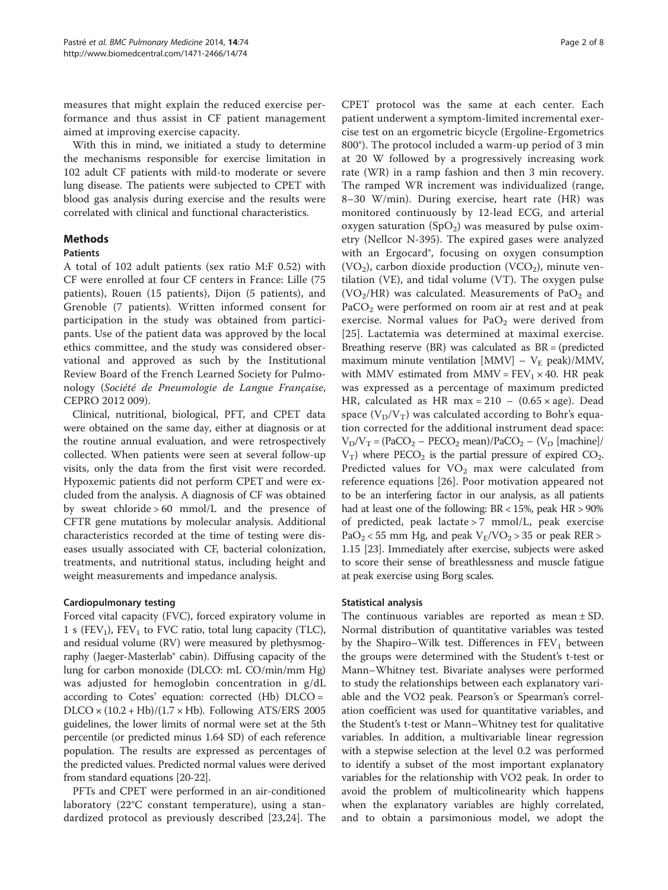measures that might explain the reduced exercise performance and thus assist in CF patient management aimed at improving exercise capacity.

With this in mind, we initiated a study to determine the mechanisms responsible for exercise limitation in 102 adult CF patients with mild-to moderate or severe lung disease. The patients were subjected to CPET with blood gas analysis during exercise and the results were correlated with clinical and functional characteristics.

# Methods

# Patients

A total of 102 adult patients (sex ratio M:F 0.52) with CF were enrolled at four CF centers in France: Lille (75 patients), Rouen (15 patients), Dijon (5 patients), and Grenoble (7 patients). Written informed consent for participation in the study was obtained from participants. Use of the patient data was approved by the local ethics committee, and the study was considered observational and approved as such by the Institutional Review Board of the French Learned Society for Pulmonology (Société de Pneumologie de Langue Française, CEPRO 2012 009).

Clinical, nutritional, biological, PFT, and CPET data were obtained on the same day, either at diagnosis or at the routine annual evaluation, and were retrospectively collected. When patients were seen at several follow-up visits, only the data from the first visit were recorded. Hypoxemic patients did not perform CPET and were excluded from the analysis. A diagnosis of CF was obtained by sweat chloride > 60 mmol/L and the presence of CFTR gene mutations by molecular analysis. Additional characteristics recorded at the time of testing were diseases usually associated with CF, bacterial colonization, treatments, and nutritional status, including height and weight measurements and impedance analysis.

# Cardiopulmonary testing

Forced vital capacity (FVC), forced expiratory volume in 1 s (FEV<sub>1</sub>), FEV<sub>1</sub> to FVC ratio, total lung capacity (TLC), and residual volume (RV) were measured by plethysmography (Jaeger-Masterlab® cabin). Diffusing capacity of the lung for carbon monoxide (DLCO: mL CO/min/mm Hg) was adjusted for hemoglobin concentration in g/dL according to Cotes' equation: corrected (Hb) DLCO =  $D<sub>LCO</sub> \times (10.2 + H<sub>b</sub>)/(1.7 \times H<sub>b</sub>)$ . Following ATS/ERS 2005 guidelines, the lower limits of normal were set at the 5th percentile (or predicted minus 1.64 SD) of each reference population. The results are expressed as percentages of the predicted values. Predicted normal values were derived from standard equations [\[20-22\]](#page-6-0).

PFTs and CPET were performed in an air-conditioned laboratory (22°C constant temperature), using a standardized protocol as previously described [\[23](#page-6-0),[24\]](#page-6-0). The

CPET protocol was the same at each center. Each patient underwent a symptom-limited incremental exercise test on an ergometric bicycle (Ergoline-Ergometrics 800®). The protocol included a warm-up period of 3 min at 20 W followed by a progressively increasing work rate (WR) in a ramp fashion and then 3 min recovery. The ramped WR increment was individualized (range, 8–30 W/min). During exercise, heart rate (HR) was monitored continuously by 12-lead ECG, and arterial oxygen saturation  $(SpO<sub>2</sub>)$  was measured by pulse oximetry (Nellcor N-395). The expired gases were analyzed with an Ergocard®, focusing on oxygen consumption  $(VO<sub>2</sub>)$ , carbon dioxide production  $(VCO<sub>2</sub>)$ , minute ventilation (VE), and tidal volume (VT). The oxygen pulse (VO<sub>2</sub>/HR) was calculated. Measurements of PaO<sub>2</sub> and PaCO<sub>2</sub> were performed on room air at rest and at peak exercise. Normal values for  $PaO<sub>2</sub>$  were derived from [[25](#page-6-0)]. Lactatemia was determined at maximal exercise. Breathing reserve (BR) was calculated as BR = (predicted maximum minute ventilation  $[MMV] - V_E$  peak)/MMV, with MMV estimated from MMV =  $FEV_1 \times 40$ . HR peak was expressed as a percentage of maximum predicted HR, calculated as HR max =  $210 - (0.65 \times age)$ . Dead space  $(V_D/V_T)$  was calculated according to Bohr's equation corrected for the additional instrument dead space:  $V_D/V_T = (PaCO_2 - PECO_2)$  mean)/PaCO<sub>2</sub> –  $(V_D$  [machine]/  $V_T$ ) where PECO<sub>2</sub> is the partial pressure of expired CO<sub>2</sub>. Predicted values for  $VO<sub>2</sub>$  max were calculated from reference equations [\[26](#page-6-0)]. Poor motivation appeared not to be an interfering factor in our analysis, as all patients had at least one of the following: BR < 15%, peak HR > 90% of predicted, peak lactate > 7 mmol/L, peak exercise PaO<sub>2</sub> < 55 mm Hg, and peak  $V_E/VO_2$  > 35 or peak RER > 1.15 [[23](#page-6-0)]. Immediately after exercise, subjects were asked to score their sense of breathlessness and muscle fatigue at peak exercise using Borg scales.

## Statistical analysis

The continuous variables are reported as mean  $\pm$  SD. Normal distribution of quantitative variables was tested by the Shapiro–Wilk test. Differences in  $FEV<sub>1</sub>$  between the groups were determined with the Student's t-test or Mann–Whitney test. Bivariate analyses were performed to study the relationships between each explanatory variable and the VO2 peak. Pearson's or Spearman's correlation coefficient was used for quantitative variables, and the Student's t-test or Mann–Whitney test for qualitative variables. In addition, a multivariable linear regression with a stepwise selection at the level 0.2 was performed to identify a subset of the most important explanatory variables for the relationship with VO2 peak. In order to avoid the problem of multicolinearity which happens when the explanatory variables are highly correlated, and to obtain a parsimonious model, we adopt the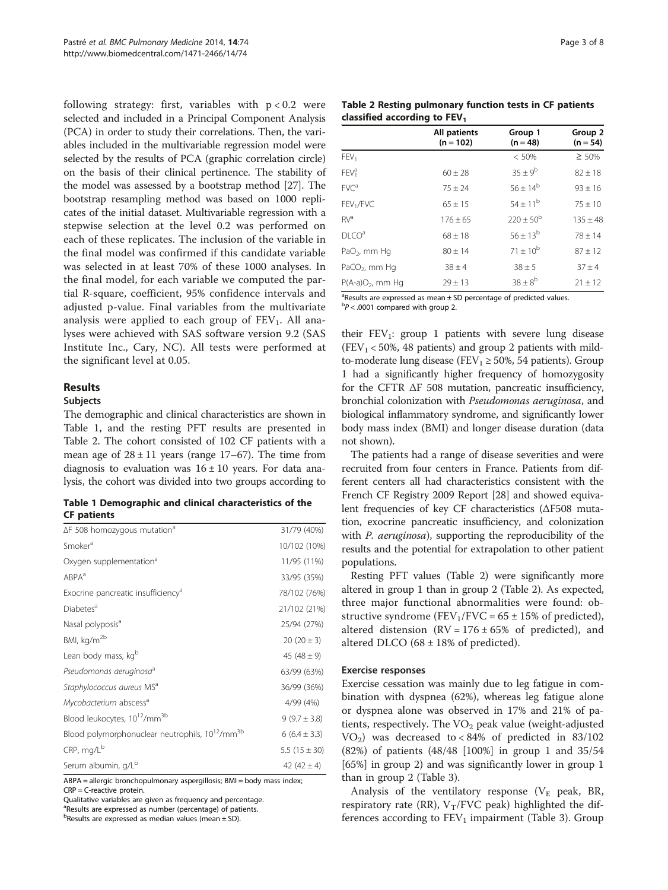following strategy: first, variables with  $p < 0.2$  were selected and included in a Principal Component Analysis (PCA) in order to study their correlations. Then, the variables included in the multivariable regression model were selected by the results of PCA (graphic correlation circle) on the basis of their clinical pertinence. The stability of the model was assessed by a bootstrap method [\[27\]](#page-6-0). The bootstrap resampling method was based on 1000 replicates of the initial dataset. Multivariable regression with a stepwise selection at the level 0.2 was performed on each of these replicates. The inclusion of the variable in the final model was confirmed if this candidate variable was selected in at least 70% of these 1000 analyses. In the final model, for each variable we computed the partial R-square, coefficient, 95% confidence intervals and adjusted p-value. Final variables from the multivariate analysis were applied to each group of  $FEV<sub>1</sub>$ . All analyses were achieved with SAS software version 9.2 (SAS Institute Inc., Cary, NC). All tests were performed at the significant level at 0.05.

## Results

#### **Subjects**

The demographic and clinical characteristics are shown in Table 1, and the resting PFT results are presented in Table 2. The cohort consisted of 102 CF patients with a mean age of  $28 \pm 11$  years (range 17–67). The time from diagnosis to evaluation was  $16 \pm 10$  years. For data analysis, the cohort was divided into two groups according to

## Table 1 Demographic and clinical characteristics of the CF patients

| $\Delta$ F 508 homozygous mutation <sup>a</sup>                         | 31/79 (40%)       |
|-------------------------------------------------------------------------|-------------------|
| Smoker <sup>a</sup>                                                     | 10/102 (10%)      |
| Oxygen supplementation <sup>a</sup>                                     | 11/95 (11%)       |
| ABPA <sup>a</sup>                                                       | 33/95 (35%)       |
| Exocrine pancreatic insufficiency <sup>d</sup>                          | 78/102 (76%)      |
| Diabetes <sup>a</sup>                                                   | 21/102 (21%)      |
| Nasal polyposis <sup>ª</sup>                                            | 25/94 (27%)       |
| BMI, kg/m <sup>2b</sup>                                                 | $20(20 \pm 3)$    |
| Lean body mass, kg <sup>b</sup>                                         | 45 $(48 \pm 9)$   |
| Pseudomonas aeruginosa <sup>a</sup>                                     | 63/99 (63%)       |
| Staphylococcus aureus MS <sup>a</sup>                                   | 36/99 (36%)       |
| Mycobacterium abscess <sup>a</sup>                                      | 4/99 (4%)         |
| Blood leukocytes, 10 <sup>12</sup> /mm <sup>3b</sup>                    | $9(9.7 \pm 3.8)$  |
| Blood polymorphonuclear neutrophils, 10 <sup>12</sup> /mm <sup>3b</sup> | $6(6.4 \pm 3.3)$  |
| $CRP, mq/L^b$                                                           | 5.5 $(15 \pm 30)$ |
| Serum albumin, g/L <sup>b</sup>                                         | 42 $(42 \pm 4)$   |

ABPA = allergic bronchopulmonary aspergillosis; BMI = body mass index; CRP = C-reactive protein.

Qualitative variables are given as frequency and percentage.

<sup>a</sup>Results are expressed as number (percentage) of patients. b Results are expressed as median values (mean ± SD).

|  | Table 2 Resting pulmonary function tests in CF patients |  |  |  |
|--|---------------------------------------------------------|--|--|--|
|  | classified according to $FEV1$                          |  |  |  |

| FEV <sub>1</sub><br>< 50%<br>$35 \pm 9^{\rm b}$<br>FEV <sub>1</sub> <sup>a</sup><br>$60 \pm 28$<br>FVC <sup>a</sup><br>$56 \pm 14^{b}$<br>$75 \pm 24$ | Group 2<br>$(n = 54)$ |
|-------------------------------------------------------------------------------------------------------------------------------------------------------|-----------------------|
|                                                                                                                                                       | $\geq 50\%$           |
|                                                                                                                                                       | $82 \pm 18$           |
|                                                                                                                                                       | $93 \pm 16$           |
| $54 \pm 11^{b}$<br>FEV <sub>1</sub> /FVC<br>$65 \pm 15$                                                                                               | $75 \pm 10$           |
| $220 \pm 50^{6}$<br>RV <sup>a</sup><br>$176 + 65$                                                                                                     | $135 \pm 48$          |
| $56 \pm 13^{b}$<br>D <sup>a</sup><br>$68 \pm 18$                                                                                                      | $78 \pm 14$           |
| $71 \pm 10^{b}$<br>PaO <sub>2</sub> , mm Hq<br>$80 \pm 14$                                                                                            | $87 \pm 12$           |
| PaCO <sub>2</sub> , mm Hq<br>$38 + 5$<br>$38 + 4$                                                                                                     | $37 + 4$              |
| $38 + 8^{b}$<br>$P(A-a)O2$ , mm Hq<br>$29 \pm 13$                                                                                                     | $21 \pm 12$           |

 $a$ Results are expressed as mean  $\pm$  SD percentage of predicted values.  $\rm ^bP$  < .0001 compared with group 2.

their  $FEV<sub>1</sub>$ : group 1 patients with severe lung disease  $(FEV<sub>1</sub> < 50\%$ , 48 patients) and group 2 patients with mildto-moderate lung disease (FEV<sub>1</sub>  $\geq$  50%, 54 patients). Group 1 had a significantly higher frequency of homozygosity for the CFTR ΔF 508 mutation, pancreatic insufficiency, bronchial colonization with Pseudomonas aeruginosa, and biological inflammatory syndrome, and significantly lower body mass index (BMI) and longer disease duration (data not shown).

The patients had a range of disease severities and were recruited from four centers in France. Patients from different centers all had characteristics consistent with the French CF Registry 2009 Report [[28](#page-6-0)] and showed equivalent frequencies of key CF characteristics (ΔF508 mutation, exocrine pancreatic insufficiency, and colonization with *P. aeruginosa*), supporting the reproducibility of the results and the potential for extrapolation to other patient populations.

Resting PFT values (Table 2) were significantly more altered in group 1 than in group 2 (Table 2). As expected, three major functional abnormalities were found: obstructive syndrome (FEV<sub>1</sub>/FVC =  $65 \pm 15\%$  of predicted), altered distension ( $RV = 176 \pm 65\%$  of predicted), and altered DLCO (68  $\pm$  18% of predicted).

## Exercise responses

Exercise cessation was mainly due to leg fatigue in combination with dyspnea (62%), whereas leg fatigue alone or dyspnea alone was observed in 17% and 21% of patients, respectively. The  $VO<sub>2</sub>$  peak value (weight-adjusted  $VO<sub>2</sub>$ ) was decreased to < 84% of predicted in 83/102 (82%) of patients (48/48 [100%] in group 1 and 35/54 [65%] in group 2) and was significantly lower in group 1 than in group 2 (Table [3\)](#page-3-0).

Analysis of the ventilatory response ( $V<sub>E</sub>$  peak, BR, respiratory rate (RR),  $V_T/FVC$  peak) highlighted the differences according to  $FEV<sub>1</sub>$  impairment (Table [3\)](#page-3-0). Group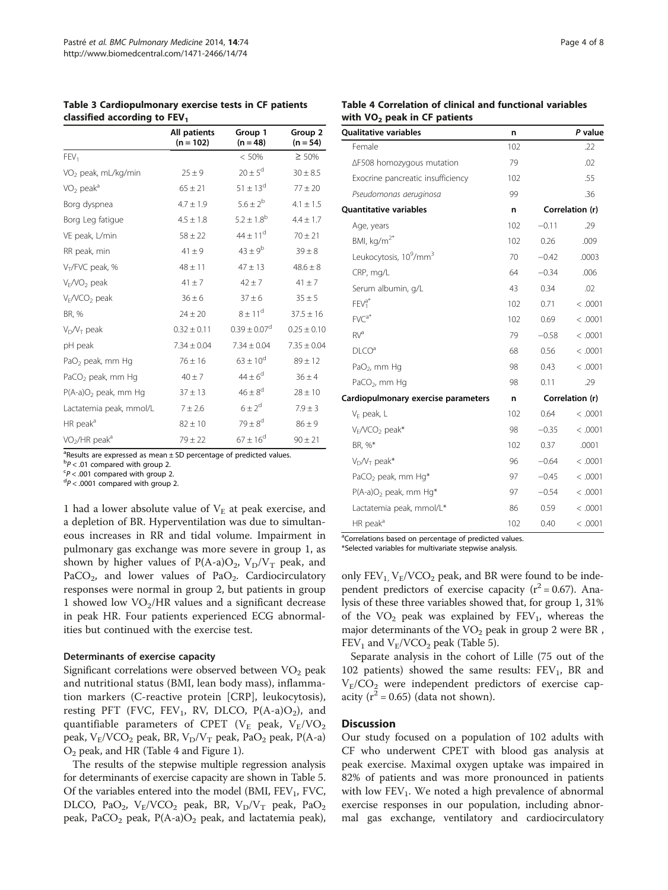|                                       | All patients<br>$(n = 102)$ | Group 1<br>$(n = 48)$ | Group 2<br>$(n = 54)$ |
|---------------------------------------|-----------------------------|-----------------------|-----------------------|
| FEV <sub>1</sub>                      |                             | < 50%                 | $\geq 50\%$           |
| VO <sub>2</sub> peak, mL/kg/min       | $25 \pm 9$                  | $20 \pm 5^{\circ}$    | $30 \pm 8.5$          |
| VO <sub>2</sub> peak <sup>d</sup>     | $65 \pm 21$                 | $51 \pm 13^d$         | $77 \pm 20$           |
| Borg dyspnea                          | $4.7 \pm 1.9$               | $5.6 \pm 2^{b}$       | $4.1 \pm 1.5$         |
| Borg Leg fatigue                      | $4.5 \pm 1.8$               | $5.2 \pm 1.8^{b}$     | $4.4 \pm 1.7$         |
| VE peak, L/min                        | $58 \pm 22$                 | $44 \pm 11^d$         | $70 \pm 21$           |
| RR peak, min                          | $41 \pm 9$                  | $43 \pm 9^b$          | $39 \pm 8$            |
| V <sub>T</sub> /FVC peak, %           | $48 \pm 11$                 | $47 \pm 13$           | $48.6 \pm 8$          |
| $V_F/VO_2$ peak                       | $41 \pm 7$                  | $42 \pm 7$            | $41 \pm 7$            |
| V <sub>F</sub> /VCO <sub>2</sub> peak | $36 \pm 6$                  | $37 + 6$              | $35 \pm 5$            |
| BR, %                                 | $24 \pm 20$                 | $8 \pm 11^d$          | $37.5 \pm 16$         |
| $V_D/V_T$ peak                        | $0.32 \pm 0.11$             | $0.39 \pm 0.07^d$     | $0.25 \pm 0.10$       |
| pH peak                               | $7.34 \pm 0.04$             | $7.34 \pm 0.04$       | $7.35 \pm 0.04$       |
| PaO <sub>2</sub> peak, mm Hg          | $76 \pm 16$                 | $63 \pm 10^{d}$       | $89 \pm 12$           |
| PaCO <sub>2</sub> peak, mm Hg         | $40 \pm 7$                  | $44 \pm 6^{\circ}$    | $36 \pm 4$            |
| $P(A-a)O2$ peak, mm Hg                | $37 + 13$                   | $46\pm8^d$            | $28 \pm 10$           |
| Lactatemia peak, mmol/L               | 7 ± 2.6                     | $6 \pm 2^d$           | $7.9 \pm 3$           |
| $HR$ peak <sup>a</sup>                | $82 \pm 10$                 | $79 \pm 8^d$          | $86 \pm 9$            |
| VO <sub>2</sub> /HR peak <sup>a</sup> | $79 + 22$                   | $67 \pm 16^{\circ}$   | $90 \pm 21$           |

<span id="page-3-0"></span>Table 3 Cardiopulmonary exercise tests in CF patients classified according to FEV<sub>1</sub>

<sup>a</sup>Results are expressed as mean ± SD percentage of predicted values.

 $\frac{b}{f}P < .01$  compared with group 2.

 ${}^{c}P$  < .001 compared with group 2.

 ${}^{d}P$  < .0001 compared with group 2.

1 had a lower absolute value of  $V<sub>E</sub>$  at peak exercise, and a depletion of BR. Hyperventilation was due to simultaneous increases in RR and tidal volume. Impairment in pulmonary gas exchange was more severe in group 1, as shown by higher values of  $P(A-a)O_2$ ,  $V_D/V_T$  peak, and PaCO<sub>2</sub>, and lower values of PaO<sub>2</sub>. Cardiocirculatory responses were normal in group 2, but patients in group 1 showed low  $VO<sub>2</sub>/HR$  values and a significant decrease in peak HR. Four patients experienced ECG abnormalities but continued with the exercise test.

#### Determinants of exercise capacity

Significant correlations were observed between  $VO<sub>2</sub>$  peak and nutritional status (BMI, lean body mass), inflammation markers (C-reactive protein [CRP], leukocytosis), resting PFT (FVC, FEV<sub>1</sub>, RV, DLCO, P(A-a)O<sub>2</sub>), and quantifiable parameters of CPET ( $V_E$  peak,  $V_E/VO_2$ peak,  $V_E/VCO_2$  peak, BR,  $V_D/V_T$  peak, PaO<sub>2</sub> peak, P(A-a) O2 peak, and HR (Table 4 and Figure [1](#page-4-0)).

The results of the stepwise multiple regression analysis for determinants of exercise capacity are shown in Table [5](#page-4-0). Of the variables entered into the model (BMI,  $FEV_1$ , FVC, DLCO, PaO<sub>2</sub>, V<sub>E</sub>/VCO<sub>2</sub> peak, BR, V<sub>D</sub>/V<sub>T</sub> peak, PaO<sub>2</sub> peak, PaCO<sub>2</sub> peak, P(A-a)O<sub>2</sub> peak, and lactatemia peak),

#### Table 4 Correlation of clinical and functional variables with  $VO<sub>2</sub>$  peak in CF patients

| <b>Qualitative variables</b>                   | n   |         | P value         |
|------------------------------------------------|-----|---------|-----------------|
| Female                                         | 102 |         | .22             |
| ∆F508 homozygous mutation                      | 79  |         | .02             |
| Exocrine pancreatic insufficiency              | 102 |         | .55             |
| Pseudomonas aeruginosa                         | 99  |         | .36             |
| <b>Ouantitative variables</b>                  | n   |         | Correlation (r) |
| Age, years                                     | 102 | $-0.11$ | .29             |
| BMI, kg/m <sup>2*</sup>                        | 102 | 0.26    | .009            |
| Leukocytosis, 10 <sup>9</sup> /mm <sup>3</sup> | 70  | $-0.42$ | .0003           |
| CRP, mg/L                                      | 64  | $-0.34$ | .006            |
| Serum albumin, g/L                             | 43  | 0.34    | .02             |
| $FEV1a*$                                       | 102 | 0.71    | < .0001         |
| $FVC^{a*}$                                     | 102 | 0.69    | < .0001         |
| RV <sup>a</sup>                                | 79  | $-0.58$ | < .0001         |
| DLCO <sup>a</sup>                              | 68  | 0.56    | < .0001         |
| PaO <sub>2</sub> , mm Hg                       | 98  | 0.43    | < .0001         |
| $PaCO2$ , mm Hq                                | 98  | 0.11    | .29             |
| Cardiopulmonary exercise parameters            | n   |         | Correlation (r) |
| $V_F$ peak, $L$                                | 102 | 0.64    | < .0001         |
| VE/VCO <sub>2</sub> peak*                      | 98  | $-0.35$ | < .0001         |
| BR, %*                                         | 102 | 0.37    | .0001           |
| V <sub>D</sub> /V <sub>T</sub> peak*           | 96  | $-0.64$ | < .0001         |
| PaCO <sub>2</sub> peak, mm Hg*                 | 97  | $-0.45$ | < .0001         |
| $P(A-a)O2$ peak, mm Hq*                        | 97  | $-0.54$ | < .0001         |
| Lactatemia peak, mmol/L*                       | 86  | 0.59    | < .0001         |
| $HR$ peak <sup>a</sup>                         | 102 | 0.40    | < .0001         |

<sup>a</sup>Correlations based on percentage of predicted values.

\*Selected variables for multivariate stepwise analysis.

only  $FEV_1$ ,  $V_E/VCO_2$  peak, and BR were found to be independent predictors of exercise capacity ( $r^2$  = 0.67). Analysis of these three variables showed that, for group 1, 31% of the  $VO<sub>2</sub>$  peak was explained by  $FEV<sub>1</sub>$ , whereas the major determinants of the  $VO<sub>2</sub>$  peak in group 2 were BR,  $FEV<sub>1</sub>$  and  $V<sub>E</sub>/VCO<sub>2</sub>$  peak (Table [5\)](#page-4-0).

Separate analysis in the cohort of Lille (75 out of the 102 patients) showed the same results:  $FEV<sub>1</sub>$ , BR and  $V_{E}/CO_{2}$  were independent predictors of exercise capacity ( $r^2$  = 0.65) (data not shown).

### **Discussion**

Our study focused on a population of 102 adults with CF who underwent CPET with blood gas analysis at peak exercise. Maximal oxygen uptake was impaired in 82% of patients and was more pronounced in patients with low  $FEV_1$ . We noted a high prevalence of abnormal exercise responses in our population, including abnormal gas exchange, ventilatory and cardiocirculatory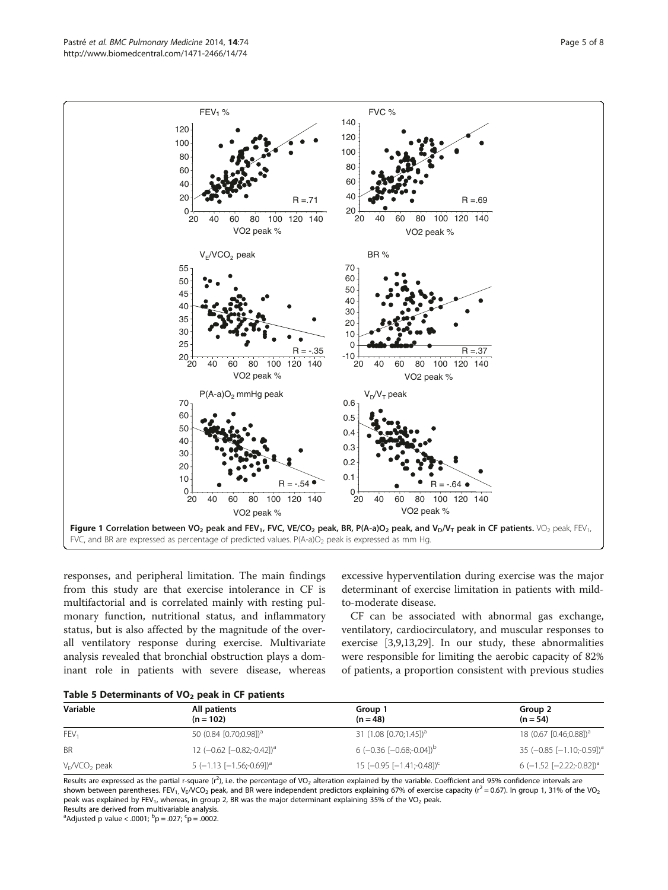<span id="page-4-0"></span>

responses, and peripheral limitation. The main findings from this study are that exercise intolerance in CF is multifactorial and is correlated mainly with resting pulmonary function, nutritional status, and inflammatory status, but is also affected by the magnitude of the overall ventilatory response during exercise. Multivariate analysis revealed that bronchial obstruction plays a dominant role in patients with severe disease, whereas excessive hyperventilation during exercise was the major determinant of exercise limitation in patients with mildto-moderate disease.

CF can be associated with abnormal gas exchange, ventilatory, cardiocirculatory, and muscular responses to exercise [[3,9,13,29\]](#page-6-0). In our study, these abnormalities were responsible for limiting the aerobic capacity of 82% of patients, a proportion consistent with previous studies

| Table 5 Determinants of VO $_2$ peak in CF patients |  |  |  |
|-----------------------------------------------------|--|--|--|
|-----------------------------------------------------|--|--|--|

| Variable             | All patients<br>$(n = 102)$        | Group 1<br>$(n = 48)$                     | Group 2<br>$(n = 54)$                  |
|----------------------|------------------------------------|-------------------------------------------|----------------------------------------|
| FEV <sub>1</sub>     | 50 (0.84 [0.70;0.98]) <sup>a</sup> | 31 $(1.08 [0.70; 1.45])^a$                | 18 (0.67 [0.46;0.88]) <sup>a</sup>     |
| <b>BR</b>            | 12 $(-0.62 [-0.82; -0.42])^3$      | $6(-0.36[-0.68; -0.04])^{b}$              | 35 $(-0.85 [-1.10; -0.59])^a$          |
| $V_{E}/VCO_{2}$ peak | $5(-1.13[-1.56; -0.69])^3$         | 15 $(-0.95$ $[-1.41; -0.48]$ <sup>c</sup> | $6$ (-1.52 [-2.22;-0.82]) <sup>a</sup> |

Results are expressed as the partial r-square (r<sup>2</sup>), i.e. the percentage of VO<sub>2</sub> alteration explained by the variable. Coefficient and 95% confidence intervals are shown between parentheses. FEV<sub>1,</sub> V<sub>E</sub>/VCO<sub>2</sub> peak, and BR were independent predictors explaining 67% of exercise capacity ( $r^2$  = 0.67). In group 1, 31% of the VO<sub>2</sub> peak was explained by FEV<sub>1</sub>, whereas, in group 2, BR was the major determinant explaining 35% of the VO<sub>2</sub> peak. Results are derived from multivariable analysis.

<sup>a</sup>Adjusted p value < .0001; <sup>b</sup>p = .027; <sup>c</sup>p = .0002.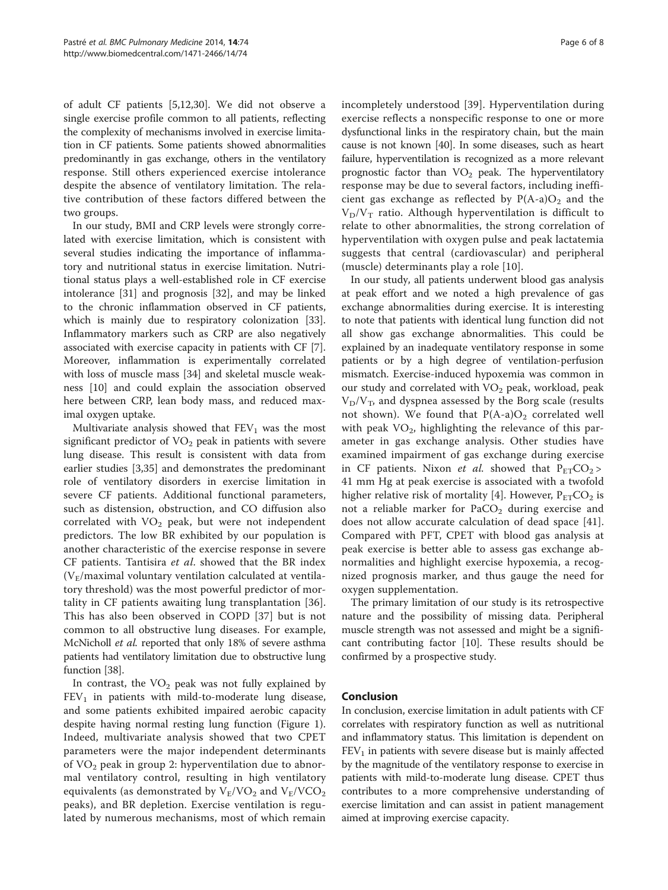of adult CF patients [\[5,12,30](#page-6-0)]. We did not observe a single exercise profile common to all patients, reflecting the complexity of mechanisms involved in exercise limitation in CF patients. Some patients showed abnormalities predominantly in gas exchange, others in the ventilatory response. Still others experienced exercise intolerance despite the absence of ventilatory limitation. The relative contribution of these factors differed between the two groups.

In our study, BMI and CRP levels were strongly correlated with exercise limitation, which is consistent with several studies indicating the importance of inflammatory and nutritional status in exercise limitation. Nutritional status plays a well-established role in CF exercise intolerance [\[31](#page-6-0)] and prognosis [\[32](#page-6-0)], and may be linked to the chronic inflammation observed in CF patients, which is mainly due to respiratory colonization [\[33](#page-6-0)]. Inflammatory markers such as CRP are also negatively associated with exercise capacity in patients with CF [\[7](#page-6-0)]. Moreover, inflammation is experimentally correlated with loss of muscle mass [[34](#page-6-0)] and skeletal muscle weakness [[10\]](#page-6-0) and could explain the association observed here between CRP, lean body mass, and reduced maximal oxygen uptake.

Multivariate analysis showed that  $FEV<sub>1</sub>$  was the most significant predictor of  $VO<sub>2</sub>$  peak in patients with severe lung disease. This result is consistent with data from earlier studies [[3,35\]](#page-6-0) and demonstrates the predominant role of ventilatory disorders in exercise limitation in severe CF patients. Additional functional parameters, such as distension, obstruction, and CO diffusion also correlated with  $VO<sub>2</sub>$  peak, but were not independent predictors. The low BR exhibited by our population is another characteristic of the exercise response in severe CF patients. Tantisira et al. showed that the BR index ( $V_F/maximal$  voluntary ventilation calculated at ventilatory threshold) was the most powerful predictor of mortality in CF patients awaiting lung transplantation [[36](#page-6-0)]. This has also been observed in COPD [\[37](#page-6-0)] but is not common to all obstructive lung diseases. For example, McNicholl *et al.* reported that only 18% of severe asthma patients had ventilatory limitation due to obstructive lung function [[38\]](#page-6-0).

In contrast, the  $VO<sub>2</sub>$  peak was not fully explained by  $FEV<sub>1</sub>$  in patients with mild-to-moderate lung disease, and some patients exhibited impaired aerobic capacity despite having normal resting lung function (Figure [1](#page-4-0)). Indeed, multivariate analysis showed that two CPET parameters were the major independent determinants of  $VO<sub>2</sub>$  peak in group 2: hyperventilation due to abnormal ventilatory control, resulting in high ventilatory equivalents (as demonstrated by  $V_E/VO_2$  and  $V_E/VCO_2$ peaks), and BR depletion. Exercise ventilation is regulated by numerous mechanisms, most of which remain

incompletely understood [[39](#page-6-0)]. Hyperventilation during exercise reflects a nonspecific response to one or more dysfunctional links in the respiratory chain, but the main cause is not known [\[40\]](#page-7-0). In some diseases, such as heart failure, hyperventilation is recognized as a more relevant prognostic factor than  $VO<sub>2</sub>$  peak. The hyperventilatory response may be due to several factors, including inefficient gas exchange as reflected by  $P(A-a)O_2$  and the  $V_D/V_T$  ratio. Although hyperventilation is difficult to relate to other abnormalities, the strong correlation of hyperventilation with oxygen pulse and peak lactatemia suggests that central (cardiovascular) and peripheral (muscle) determinants play a role [\[10](#page-6-0)].

In our study, all patients underwent blood gas analysis at peak effort and we noted a high prevalence of gas exchange abnormalities during exercise. It is interesting to note that patients with identical lung function did not all show gas exchange abnormalities. This could be explained by an inadequate ventilatory response in some patients or by a high degree of ventilation-perfusion mismatch. Exercise-induced hypoxemia was common in our study and correlated with  $VO<sub>2</sub>$  peak, workload, peak  $V<sub>D</sub>/V<sub>T</sub>$ , and dyspnea assessed by the Borg scale (results not shown). We found that  $P(A-a)O_2$  correlated well with peak  $VO<sub>2</sub>$ , highlighting the relevance of this parameter in gas exchange analysis. Other studies have examined impairment of gas exchange during exercise in CF patients. Nixon *et al.* showed that  $P_{ET}CO_2$ 41 mm Hg at peak exercise is associated with a twofold higher relative risk of mortality [[4](#page-6-0)]. However,  $P_{ET}CO_2$  is not a reliable marker for  $PaCO<sub>2</sub>$  during exercise and does not allow accurate calculation of dead space [\[41](#page-7-0)]. Compared with PFT, CPET with blood gas analysis at peak exercise is better able to assess gas exchange abnormalities and highlight exercise hypoxemia, a recognized prognosis marker, and thus gauge the need for oxygen supplementation.

The primary limitation of our study is its retrospective nature and the possibility of missing data. Peripheral muscle strength was not assessed and might be a significant contributing factor [[10\]](#page-6-0). These results should be confirmed by a prospective study.

## Conclusion

In conclusion, exercise limitation in adult patients with CF correlates with respiratory function as well as nutritional and inflammatory status. This limitation is dependent on  $FEV<sub>1</sub>$  in patients with severe disease but is mainly affected by the magnitude of the ventilatory response to exercise in patients with mild-to-moderate lung disease. CPET thus contributes to a more comprehensive understanding of exercise limitation and can assist in patient management aimed at improving exercise capacity.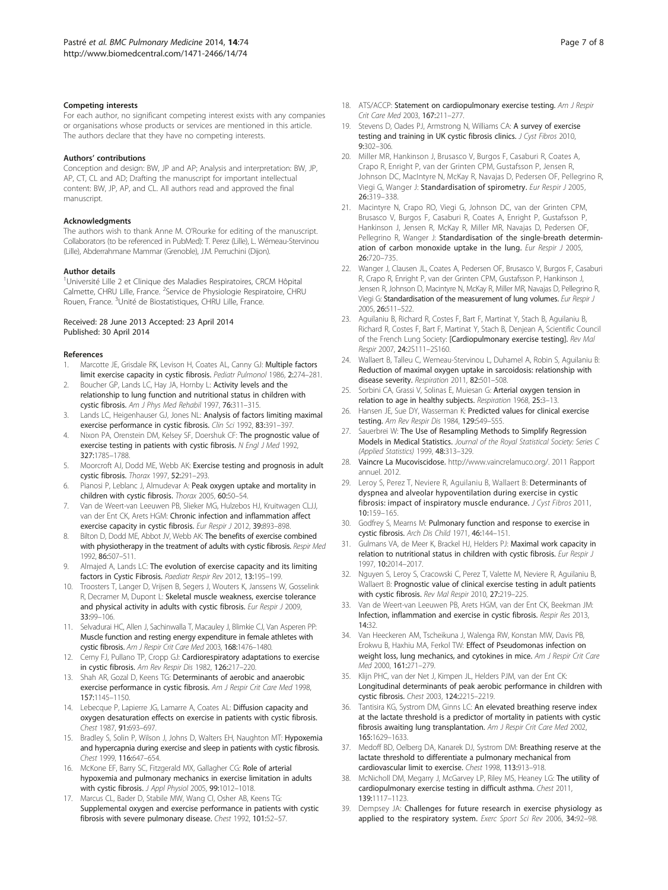#### <span id="page-6-0"></span>Competing interests

For each author, no significant competing interest exists with any companies or organisations whose products or services are mentioned in this article. The authors declare that they have no competing interests.

#### Authors' contributions

Conception and design: BW, JP and AP; Analysis and interpretation: BW, JP, AP, CT, CL and AD; Drafting the manuscript for important intellectual content: BW, JP, AP, and CL. All authors read and approved the final manuscript.

#### Acknowledgments

The authors wish to thank Anne M. O'Rourke for editing of the manuscript. Collaborators (to be referenced in PubMed): T. Perez (Lille), L. Wémeau-Stervinou (Lille), Abderrahmane Mammar (Grenoble), J.M. Perruchini (Dijon).

#### Author details

<sup>1</sup>Université Lille 2 et Clinique des Maladies Respiratoires, CRCM Hôpital Calmette, CHRU Lille, France. <sup>2</sup>Service de Physiologie Respiratoire, CHRU Rouen, France. <sup>3</sup>Unité de Biostatistiques, CHRU Lille, France.

#### Received: 28 June 2013 Accepted: 23 April 2014 Published: 30 April 2014

#### References

- Marcotte JE, Grisdale RK, Levison H, Coates AL, Canny GJ: Multiple factors limit exercise capacity in cystic fibrosis. Pediatr Pulmonol 1986, 2:274–281.
- Boucher GP, Lands LC, Hay JA, Hornby L: Activity levels and the relationship to lung function and nutritional status in children with cystic fibrosis. Am J Phys Med Rehabil 1997, 76:311–315.
- 3. Lands LC, Heigenhauser GJ, Jones NL: Analysis of factors limiting maximal exercise performance in cystic fibrosis. Clin Sci 1992, 83:391–397.
- 4. Nixon PA, Orenstein DM, Kelsey SF, Doershuk CF: The prognostic value of exercise testing in patients with cystic fibrosis. N Engl J Med 1992, 327:1785–1788.
- 5. Moorcroft AJ, Dodd ME, Webb AK: Exercise testing and prognosis in adult cystic fibrosis. Thorax 1997, 52:291–293.
- 6. Pianosi P, Leblanc J, Almudevar A: Peak oxygen uptake and mortality in children with cystic fibrosis. Thorax 2005, 60:50–54.
- 7. Van de Weert-van Leeuwen PB, Slieker MG, Hulzebos HJ, Kruitwagen CLJJ, van der Ent CK, Arets HGM: Chronic infection and inflammation affect exercise capacity in cystic fibrosis. Eur Respir J 2012, 39:893-898.
- 8. Bilton D, Dodd ME, Abbot JV, Webb AK: The benefits of exercise combined with physiotherapy in the treatment of adults with cystic fibrosis. Respir Med 1992, 86:507–511.
- 9. Almajed A, Lands LC: The evolution of exercise capacity and its limiting factors in Cystic Fibrosis. Paediatr Respir Rev 2012, 13:195–199.
- 10. Troosters T, Langer D, Vrijsen B, Segers J, Wouters K, Janssens W, Gosselink R, Decramer M, Dupont L: Skeletal muscle weakness, exercise tolerance and physical activity in adults with cystic fibrosis. Eur Respir J 2009, 33:99–106.
- 11. Selvadurai HC, Allen J, Sachinwalla T, Macauley J, Blimkie CJ, Van Asperen PP: Muscle function and resting energy expenditure in female athletes with cystic fibrosis. Am J Respir Crit Care Med 2003, 168:1476–1480.
- 12. Cerny FJ, Pullano TP, Cropp GJ: Cardiorespiratory adaptations to exercise in cystic fibrosis. Am Rev Respir Dis 1982, 126:217–220.
- 13. Shah AR, Gozal D, Keens TG: Determinants of aerobic and anaerobic exercise performance in cystic fibrosis. Am J Respir Crit Care Med 1998, 157:1145–1150.
- 14. Lebecque P, Lapierre JG, Lamarre A, Coates AL: Diffusion capacity and oxygen desaturation effects on exercise in patients with cystic fibrosis. Chest 1987, 91:693–697.
- 15. Bradley S, Solin P, Wilson J, Johns D, Walters EH, Naughton MT: Hypoxemia and hypercapnia during exercise and sleep in patients with cystic fibrosis. Chest 1999, 116:647–654.
- 16. McKone EF, Barry SC, Fitzgerald MX, Gallagher CG: Role of arterial hypoxemia and pulmonary mechanics in exercise limitation in adults with cystic fibrosis. J Appl Physiol 2005, 99:1012-1018.
- 17. Marcus CL, Bader D, Stabile MW, Wang CI, Osher AB, Keens TG: Supplemental oxygen and exercise performance in patients with cystic fibrosis with severe pulmonary disease. Chest 1992, 101:52–57.
- 18. ATS/ACCP: Statement on cardiopulmonary exercise testing. Am J Respir Crit Care Med 2003, 167:211–277.
- 19. Stevens D, Oades PJ, Armstrong N, Williams CA: A survey of exercise testing and training in UK cystic fibrosis clinics. J Cyst Fibros 2010, 9:302–306.
- 20. Miller MR, Hankinson J, Brusasco V, Burgos F, Casaburi R, Coates A, Crapo R, Enright P, van der Grinten CPM, Gustafsson P, Jensen R, Johnson DC, MacIntyre N, McKay R, Navajas D, Pedersen OF, Pellegrino R, Viegi G, Wanger J: Standardisation of spirometry. Eur Respir J 2005, 26:319–338.
- 21. Macintyre N, Crapo RO, Viegi G, Johnson DC, van der Grinten CPM, Brusasco V, Burgos F, Casaburi R, Coates A, Enright P, Gustafsson P, Hankinson J, Jensen R, McKay R, Miller MR, Navajas D, Pedersen OF, Pellegrino R, Wanger J: Standardisation of the single-breath determination of carbon monoxide uptake in the lung. Eur Respir J 2005, 26:720–735.
- 22. Wanger J, Clausen JL, Coates A, Pedersen OF, Brusasco V, Burgos F, Casaburi R, Crapo R, Enright P, van der Grinten CPM, Gustafsson P, Hankinson J, Jensen R, Johnson D, Macintyre N, McKay R, Miller MR, Navajas D, Pellegrino R, Viegi G: Standardisation of the measurement of lung volumes. Eur Respir J 2005, 26:511–522.
- 23. Aguilaniu B, Richard R, Costes F, Bart F, Martinat Y, Stach B, Aguilaniu B, Richard R, Costes F, Bart F, Martinat Y, Stach B, Denjean A, Scientific Council of the French Lung Society: [Cardiopulmonary exercise testing]. Rev Mal Respir 2007, 24:2S111-2S160.
- 24. Wallaert B, Talleu C, Wemeau-Stervinou L, Duhamel A, Robin S, Aguilaniu B: Reduction of maximal oxygen uptake in sarcoidosis: relationship with disease severity. Respiration 2011, 82:501–508.
- 25. Sorbini CA, Grassi V, Solinas E, Muiesan G: Arterial oxygen tension in relation to age in healthy subjects. Respiration 1968, 25:3–13.
- 26. Hansen JE, Sue DY, Wasserman K: Predicted values for clinical exercise testing. Am Rev Respir Dis 1984, 129:S49-S55.
- 27. Sauerbrei W: The Use of Resampling Methods to Simplify Regression Models in Medical Statistics. Journal of the Royal Statistical Society: Series C (Applied Statistics) 1999, 48:313–329.
- 28. Vaincre La Mucoviscidose. [http://www.vaincrelamuco.org/.](http://www.vaincrelamuco.org/) 2011 Rapport annuel. 2012.
- 29. Leroy S, Perez T, Neviere R, Aguilaniu B, Wallaert B: Determinants of dyspnea and alveolar hypoventilation during exercise in cystic fibrosis: impact of inspiratory muscle endurance. J Cyst Fibros 2011, 10:159–165.
- 30. Godfrey S, Mearns M: Pulmonary function and response to exercise in cystic fibrosis. Arch Dis Child 1971, 46:144–151.
- 31. Gulmans VA, de Meer K, Brackel HJ, Helders PJ: Maximal work capacity in relation to nutritional status in children with cystic fibrosis. Eur Respir J 1997, 10:2014–2017.
- 32. Nguyen S, Leroy S, Cracowski C, Perez T, Valette M, Neviere R, Aguilaniu B, Wallaert B: Prognostic value of clinical exercise testing in adult patients with cystic fibrosis. Rev Mal Respir 2010, 27:219–225.
- 33. Van de Weert-van Leeuwen PB, Arets HGM, van der Ent CK, Beekman JM: Infection, inflammation and exercise in cystic fibrosis. Respir Res 2013, 14:32.
- 34. Van Heeckeren AM, Tscheikuna J, Walenga RW, Konstan MW, Davis PB, Erokwu B, Haxhiu MA, Ferkol TW: Effect of Pseudomonas infection on weight loss, lung mechanics, and cytokines in mice. Am J Respir Crit Care Med 2000, 161:271–279.
- 35. Klijn PHC, van der Net J, Kimpen JL, Helders PJM, van der Ent CK: Longitudinal determinants of peak aerobic performance in children with cystic fibrosis. Chest 2003, 124:2215–2219.
- 36. Tantisira KG, Systrom DM, Ginns LC: An elevated breathing reserve index at the lactate threshold is a predictor of mortality in patients with cystic fibrosis awaiting lung transplantation. Am J Respir Crit Care Med 2002, 165:1629–1633.
- 37. Medoff BD, Oelberg DA, Kanarek DJ, Systrom DM: Breathing reserve at the lactate threshold to differentiate a pulmonary mechanical from cardiovascular limit to exercise. Chest 1998, 113:913–918.
- 38. McNicholl DM, Megarry J, McGarvey LP, Riley MS, Heaney LG: The utility of cardiopulmonary exercise testing in difficult asthma. Chest 2011, 139:1117–1123.
- 39. Dempsey JA: Challenges for future research in exercise physiology as applied to the respiratory system. Exerc Sport Sci Rev 2006, 34:92-98.